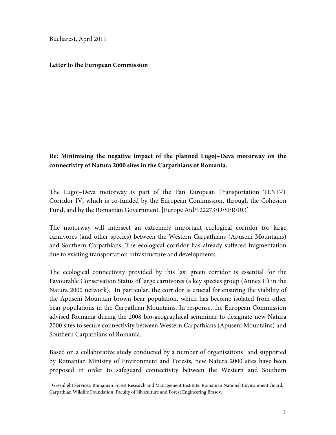Bucharest, April 2011

 $\overline{a}$ 

## **Letter to the European Commission**

## **Re: Minimising the negative impact of the planned Lugoj–Deva motorway on the connectivity of Natura 2000 sites in the Carpathians of Romania.**

The Lugoj–Deva motorway is part of the Pan European Transportation TENT-T Corridor IV, which is co-funded by the European Commission, through the Cohesion Fund, and by the Romanian Government. **[**Europe Aid/122273/D/SER/RO**]** 

The motorway will intersect an extremely important ecological corridor for large carnivores (and other species) between the Western Carpathians (Apuseni Mountains) and Southern Carpathians. The ecological corridor has already suffered fragmentation due to existing transportation infrastructure and developments.

The ecological connectivity provided by this last green corridor is essential for the Favourable Conservation Status of large carnivores (a key species group (Annex II) in the Natura 2000 network). In particular, the corridor is crucial for ensuring the viability of the Apuseni Mountain brown bear population, which has become isolated from other bear populations in the Carpathian Mountains. In response, the European Commission advised Romania during the 2008 bio-geographical semminar to designate new Natura 2000 sites to secure connectivity between Western Carpathians (Apuseni Mountains) and Southern Carpathians of Romania.

Based on a collaborative study conducted by a number of organisations<sup>[1](#page-0-0)</sup> and supported by Romanian Ministry of Environment and Forests, new Natura 2000 sites have been proposed in order to safeguard connectivity between the Western and Southern

<span id="page-0-0"></span><sup>&</sup>lt;sup>1</sup> Greenlight Services, Romanian Forest Research and Management Institute, Romanian National Environment Guard, Carpathian Wildlife Foundation, Faculty of Silviculture and Forest Engineering Brasov.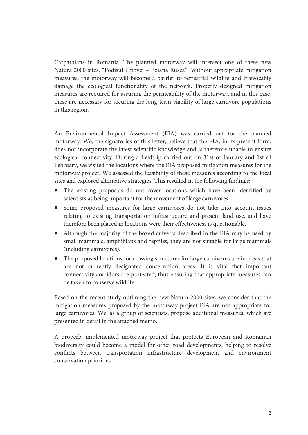Carpathians in Romania. The planned motorway will intersect one of these new Natura 2000 sites, "Podisul Lipovei – Poiana Rusca". Without appropriate mitigation measures, the motorway will become a barrier to terrestrial wildlife and irrevocably damage the ecological functionality of the network. Properly designed mitigation measures are required for assuring the permeability of the motorway, and in this case, these are necessary for securing the long-term viability of large carnivore populations in this region.

An Environmental Impact Assessment (EIA) was carried out for the planned motorway. We, the signatories of this letter, believe that the EIA, in its present form, does not incorporate the latest scientific knowledge and is therefore unable to ensure ecological connectivity. During a fieldtrip carried out on 31st of January and 1st of February, we visited the locations where the EIA proposed mitigation measures for the motorway project. We assessed the feasibility of these measures according to the local sites and explored alternative strategies. This resulted in the following findings:

- The existing proposals do not cover locations which have been identified by scientists as being important for the movement of large carnivores.
- Some proposed measures for large carnivores do not take into account issues relating to existing transportation infrastructure and present land use, and have therefore been placed in locations were their effectiveness is questionable.
- Although the majority of the boxed culverts described in the EIA may be used by small mammals, amphibians and reptiles, they are not suitable for large mammals (including carnivores).
- The proposed locations for crossing structures for large carnivores are in areas that are not currently designated conservation areas. It is vital that important connectivity corridors are protected, thus ensuring that appropriate measures can be taken to conserve wildlife.

Based on the recent study outlining the new Natura 2000 sites, we consider that the mitigation measures proposed by the motorway project EIA are not appropriate for large carnivores. We, as a group of scientists, propose additional measures, which are presented in detail in the attached memo.

A properly implemented motorway project that protects European and Romanian biodiversity could become a model for other road developments, helping to resolve conflicts between transportation infrastructure development and environment conservation priorities.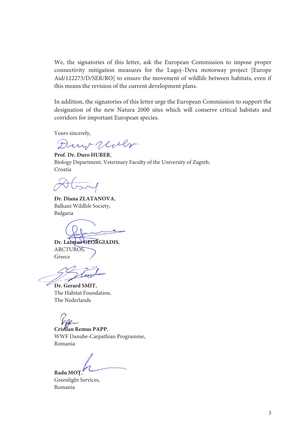We, the signatories of this letter, ask the European Commission to impose proper connectivity mitigation measures for the Lugoj–Deva motorway project [Europe Aid/122273/D/SER/RO] to ensure the movement of wildlife between habitats, even if this means the revision of the current development plans.

In addition, the signatories of this letter urge the European Commission to support the designation of the new Natura 2000 sites which will conserve critical habitats and corridors for important European species.

Yours sincerely,

Dury Uller

**Prof. Dr. Duro HUBER**, Biology Department, Veterinary Faculty of the University of Zagreb, Croatia

**Dr. Diana ZLATANOVA**, Balkani Wildlife Society, Bulgaria

**Dr. Lazaros GEORGIADIS**, ARCTUROS, Greece

**Dr. Gerard SMIT**, The Habitat Foundation, The Nederlands

**Cristian Remus PAPP**, WWF Danube-Carpathian Programme, Romania

**Radu MOŢ**,

Greenlight Services, Romania